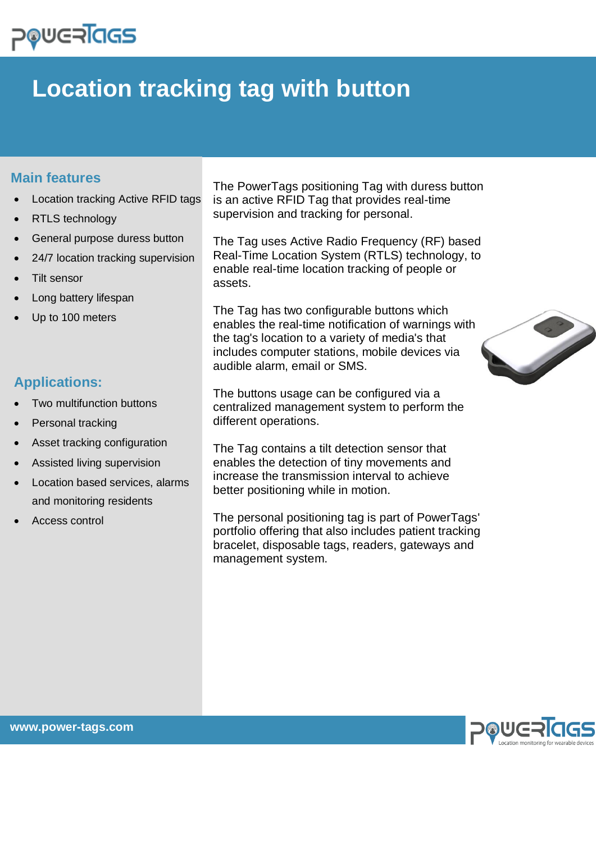# **POUGRIGS**

## **Location tracking tag with button**

#### **Main features**

- Location tracking Active RFID tags
- RTLS technology
- General purpose duress button
- 24/7 location tracking supervision
- Tilt sensor
- Long battery lifespan
- Up to 100 meters

### **Applications:**

- Two multifunction buttons
- Personal tracking
- Asset tracking configuration
- Assisted living supervision
- Location based services, alarms and monitoring residents
- Access control

The PowerTags positioning Tag with duress button is an active RFID Tag that provides real-time supervision and tracking for personal.

The Tag uses Active Radio Frequency (RF) based Real-Time Location System (RTLS) technology, to enable real-time location tracking of people or assets.

The Tag has two configurable buttons which enables the real-time notification of warnings with the tag's location to a variety of media's that includes computer stations, mobile devices via audible alarm, email or SMS.

The buttons usage can be configured via a centralized management system to perform the different operations.

The Tag contains a tilt detection sensor that enables the detection of tiny movements and increase the transmission interval to achieve better positioning while in motion.

The personal positioning tag is part of PowerTags' portfolio offering that also includes patient tracking bracelet, disposable tags, readers, gateways and management system.